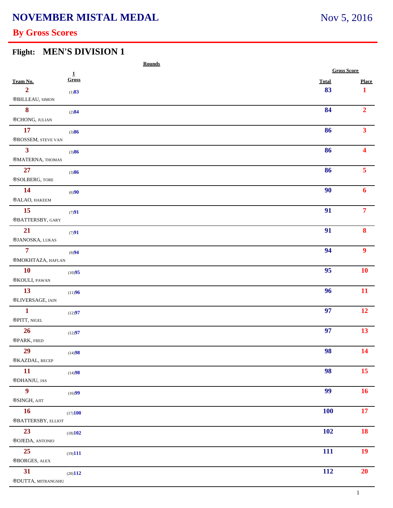## **By Gross Scores**

#### **Flight: MEN'S DIVISION 1**

|                                     | <b>Rounds</b> |              |                    |
|-------------------------------------|---------------|--------------|--------------------|
|                                     | $\mathbf 1$   |              | <b>Gross Score</b> |
| Team No.                            | Gross         | <b>Total</b> | <b>Place</b>       |
| $\overline{2}$<br>®BILLEAU, SIMON   | (1)83         | 83           | 1                  |
| 8<br>®CHONG, JULIAN                 | (2)84         | 84           | $\overline{2}$     |
| 17                                  | (3)86         | 86           | 3 <sup>1</sup>     |
| ®ROSSEM, STEVE VAN                  |               |              |                    |
| 3 <sup>1</sup><br>®MATERNA, THOMAS  | (3)86         | 86           | $\blacktriangle$   |
| 27<br>®SOLBERG, TORE                | (3)86         | 86           | $\overline{5}$     |
| 14                                  | (6)90         | 90           | 6                  |
| ®ALAO, HAKEEM                       |               |              |                    |
| 15<br>®BATTERSBY, GARY              | (7)91         | 91           | $\overline{7}$     |
| 21<br>®JANOSKA, LUKAS               | (7)91         | 91           | 8                  |
| $\overline{7}$<br>®MOKHTAZA, HAFLAN | (9)94         | 94           | $\boldsymbol{9}$   |
| <b>10</b><br>®KOULI, PAWAN          | (10)95        | 95           | <b>10</b>          |
| 13<br>®LIVERSAGE, IAIN              | (11)96        | 96           | 11                 |
| $\mathbf{1}$<br>®PITT, NIGEL        | (12)97        | 97           | 12                 |
| 26<br>®PARK, FRED                   | (12)97        | 97           | 13                 |
| 29<br>®KAZDAL, RECEP                | (14)98        | 98           | 14                 |
| 11<br>$\circledR$ DHANJU, JAS       | (14)98        | 98           | 15 <sup>7</sup>    |
| $\boldsymbol{9}$<br>®SINGH, AJIT    | (16)99        | 99           | 16 <sup>2</sup>    |
| <b>16</b><br>®BATTERSBY, ELLIOT     | (17)100       | <b>100</b>   | 17 <sup>7</sup>    |
| 23<br>®OJEDA, ANTONIO               | (18)102       | <b>102</b>   | 18                 |
| 25<br>®BORGES, ALEX                 | (19)111       | 111          | 19                 |
| 31                                  | (20)112       | 112          | 20                 |
| ®DUTTA, MITRANGSHU                  |               |              |                    |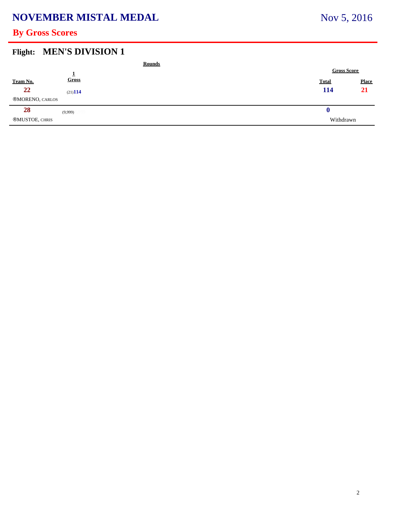## **NOVEMBER MISTAL MEDAL**

# Nov 5, 2016

## **By Gross Scores**

#### **Flight: MEN'S DIVISION 1**

|                       |         | <b>Rounds</b> |                    |              |              |
|-----------------------|---------|---------------|--------------------|--------------|--------------|
|                       |         |               | <b>Gross Score</b> |              |              |
| Team No.              | Gross   |               |                    | <b>Total</b> | <b>Place</b> |
| 22                    | (21)114 |               |                    | 114          | 21           |
| ®MORENO, CARLOS       |         |               |                    |              |              |
| 28                    | (9,999) |               |                    | v            |              |
| <b>®MUSTOE, CHRIS</b> |         |               |                    | Withdrawn    |              |